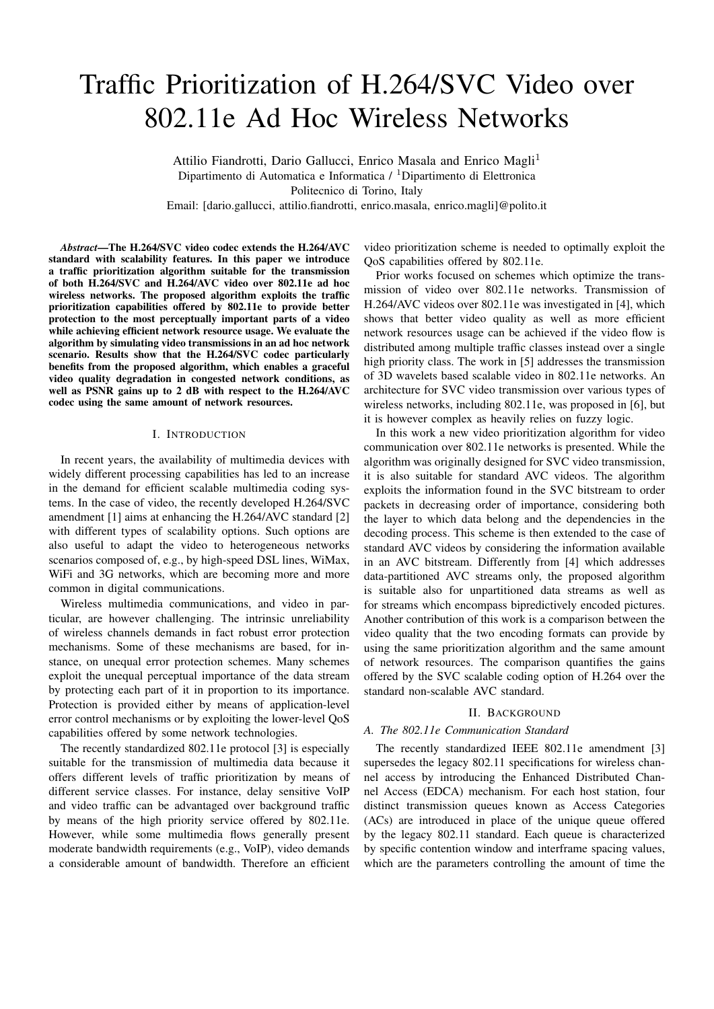# Traffic Prioritization of H.264/SVC Video over 802.11e Ad Hoc Wireless Networks

Attilio Fiandrotti, Dario Gallucci, Enrico Masala and Enrico Magli<sup>1</sup> Dipartimento di Automatica e Informatica / <sup>1</sup>Dipartimento di Elettronica Politecnico di Torino, Italy Email: [dario.gallucci, attilio.fiandrotti, enrico.masala, enrico.magli]@polito.it

*Abstract*—The H.264/SVC video codec extends the H.264/AVC standard with scalability features. In this paper we introduce a traffic prioritization algorithm suitable for the transmission of both H.264/SVC and H.264/AVC video over 802.11e ad hoc wireless networks. The proposed algorithm exploits the traffic prioritization capabilities offered by 802.11e to provide better protection to the most perceptually important parts of a video while achieving efficient network resource usage. We evaluate the algorithm by simulating video transmissions in an ad hoc network scenario. Results show that the H.264/SVC codec particularly benefits from the proposed algorithm, which enables a graceful video quality degradation in congested network conditions, as well as PSNR gains up to 2 dB with respect to the H.264/AVC codec using the same amount of network resources.

## I. INTRODUCTION

In recent years, the availability of multimedia devices with widely different processing capabilities has led to an increase in the demand for efficient scalable multimedia coding systems. In the case of video, the recently developed H.264/SVC amendment [\[1\]](#page-4-0) aims at enhancing the H.264/AVC standard [\[2\]](#page-4-1) with different types of scalability options. Such options are also useful to adapt the video to heterogeneous networks scenarios composed of, e.g., by high-speed DSL lines, WiMax, WiFi and 3G networks, which are becoming more and more common in digital communications.

Wireless multimedia communications, and video in particular, are however challenging. The intrinsic unreliability of wireless channels demands in fact robust error protection mechanisms. Some of these mechanisms are based, for instance, on unequal error protection schemes. Many schemes exploit the unequal perceptual importance of the data stream by protecting each part of it in proportion to its importance. Protection is provided either by means of application-level error control mechanisms or by exploiting the lower-level QoS capabilities offered by some network technologies.

The recently standardized 802.11e protocol [\[3\]](#page-4-2) is especially suitable for the transmission of multimedia data because it offers different levels of traffic prioritization by means of different service classes. For instance, delay sensitive VoIP and video traffic can be advantaged over background traffic by means of the high priority service offered by 802.11e. However, while some multimedia flows generally present moderate bandwidth requirements (e.g., VoIP), video demands a considerable amount of bandwidth. Therefore an efficient

video prioritization scheme is needed to optimally exploit the QoS capabilities offered by 802.11e.

Prior works focused on schemes which optimize the transmission of video over 802.11e networks. Transmission of H.264/AVC videos over 802.11e was investigated in [\[4\]](#page-4-3), which shows that better video quality as well as more efficient network resources usage can be achieved if the video flow is distributed among multiple traffic classes instead over a single high priority class. The work in [\[5\]](#page-4-4) addresses the transmission of 3D wavelets based scalable video in 802.11e networks. An architecture for SVC video transmission over various types of wireless networks, including 802.11e, was proposed in [\[6\]](#page-4-5), but it is however complex as heavily relies on fuzzy logic.

In this work a new video prioritization algorithm for video communication over 802.11e networks is presented. While the algorithm was originally designed for SVC video transmission, it is also suitable for standard AVC videos. The algorithm exploits the information found in the SVC bitstream to order packets in decreasing order of importance, considering both the layer to which data belong and the dependencies in the decoding process. This scheme is then extended to the case of standard AVC videos by considering the information available in an AVC bitstream. Differently from [\[4\]](#page-4-3) which addresses data-partitioned AVC streams only, the proposed algorithm is suitable also for unpartitioned data streams as well as for streams which encompass bipredictively encoded pictures. Another contribution of this work is a comparison between the video quality that the two encoding formats can provide by using the same prioritization algorithm and the same amount of network resources. The comparison quantifies the gains offered by the SVC scalable coding option of H.264 over the standard non-scalable AVC standard.

# II. BACKGROUND

## *A. The 802.11e Communication Standard*

The recently standardized IEEE 802.11e amendment [\[3\]](#page-4-2) supersedes the legacy 802.11 specifications for wireless channel access by introducing the Enhanced Distributed Channel Access (EDCA) mechanism. For each host station, four distinct transmission queues known as Access Categories (ACs) are introduced in place of the unique queue offered by the legacy 802.11 standard. Each queue is characterized by specific contention window and interframe spacing values, which are the parameters controlling the amount of time the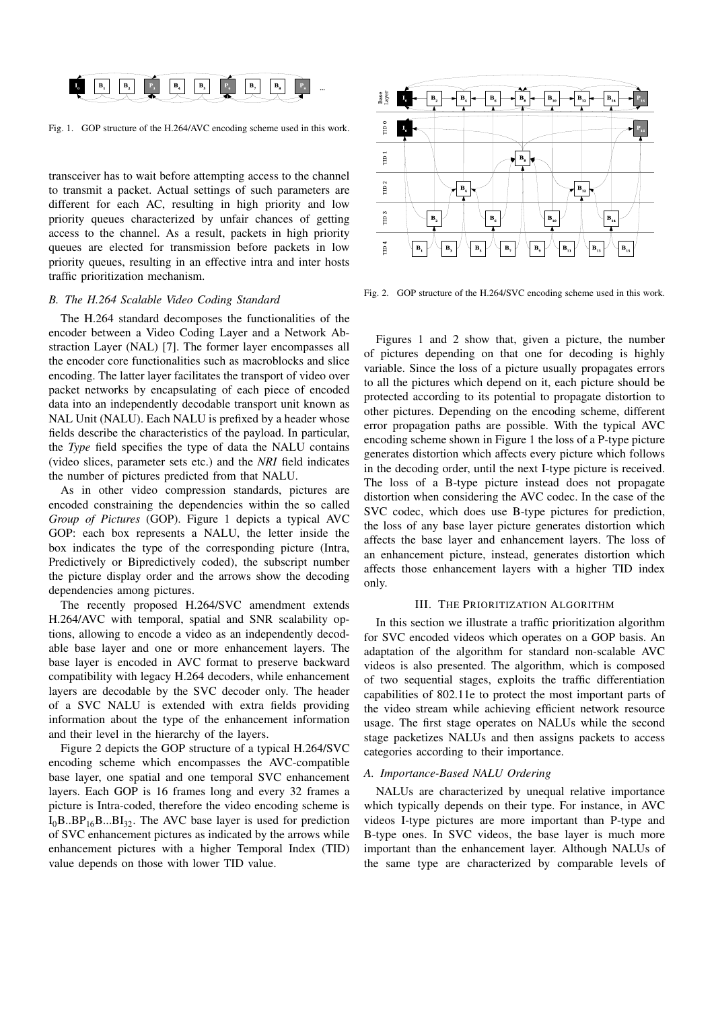

<span id="page-1-0"></span>Fig. 1. GOP structure of the H.264/AVC encoding scheme used in this work.

transceiver has to wait before attempting access to the channel to transmit a packet. Actual settings of such parameters are different for each AC, resulting in high priority and low priority queues characterized by unfair chances of getting access to the channel. As a result, packets in high priority queues are elected for transmission before packets in low priority queues, resulting in an effective intra and inter hosts traffic prioritization mechanism.

### <span id="page-1-2"></span>*B. The H.264 Scalable Video Coding Standard*

The H.264 standard decomposes the functionalities of the encoder between a Video Coding Layer and a Network Abstraction Layer (NAL) [\[7\]](#page-4-6). The former layer encompasses all the encoder core functionalities such as macroblocks and slice encoding. The latter layer facilitates the transport of video over packet networks by encapsulating of each piece of encoded data into an independently decodable transport unit known as NAL Unit (NALU). Each NALU is prefixed by a header whose fields describe the characteristics of the payload. In particular, the *Type* field specifies the type of data the NALU contains (video slices, parameter sets etc.) and the *NRI* field indicates the number of pictures predicted from that NALU.

As in other video compression standards, pictures are encoded constraining the dependencies within the so called *Group of Pictures* (GOP). Figure [1](#page-1-0) depicts a typical AVC GOP: each box represents a NALU, the letter inside the box indicates the type of the corresponding picture (Intra, Predictively or Bipredictively coded), the subscript number the picture display order and the arrows show the decoding dependencies among pictures.

The recently proposed H.264/SVC amendment extends H.264/AVC with temporal, spatial and SNR scalability options, allowing to encode a video as an independently decodable base layer and one or more enhancement layers. The base layer is encoded in AVC format to preserve backward compatibility with legacy H.264 decoders, while enhancement layers are decodable by the SVC decoder only. The header of a SVC NALU is extended with extra fields providing information about the type of the enhancement information and their level in the hierarchy of the layers.

Figure [2](#page-1-1) depicts the GOP structure of a typical H.264/SVC encoding scheme which encompasses the AVC-compatible base layer, one spatial and one temporal SVC enhancement layers. Each GOP is 16 frames long and every 32 frames a picture is Intra-coded, therefore the video encoding scheme is  $I_0B..BP_{16}B...BI_{22}$ . The AVC base layer is used for prediction of SVC enhancement pictures as indicated by the arrows while enhancement pictures with a higher Temporal Index (TID) value depends on those with lower TID value.



<span id="page-1-1"></span>Fig. 2. GOP structure of the H.264/SVC encoding scheme used in this work.

Figures [1](#page-1-0) and [2](#page-1-1) show that, given a picture, the number of pictures depending on that one for decoding is highly variable. Since the loss of a picture usually propagates errors to all the pictures which depend on it, each picture should be protected according to its potential to propagate distortion to other pictures. Depending on the encoding scheme, different error propagation paths are possible. With the typical AVC encoding scheme shown in Figure [1](#page-1-0) the loss of a P-type picture generates distortion which affects every picture which follows in the decoding order, until the next I-type picture is received. The loss of a B-type picture instead does not propagate distortion when considering the AVC codec. In the case of the SVC codec, which does use B-type pictures for prediction, the loss of any base layer picture generates distortion which affects the base layer and enhancement layers. The loss of an enhancement picture, instead, generates distortion which affects those enhancement layers with a higher TID index only.

# III. THE PRIORITIZATION ALGORITHM

<span id="page-1-3"></span>In this section we illustrate a traffic prioritization algorithm for SVC encoded videos which operates on a GOP basis. An adaptation of the algorithm for standard non-scalable AVC videos is also presented. The algorithm, which is composed of two sequential stages, exploits the traffic differentiation capabilities of 802.11e to protect the most important parts of the video stream while achieving efficient network resource usage. The first stage operates on NALUs while the second stage packetizes NALUs and then assigns packets to access categories according to their importance.

# *A. Importance-Based NALU Ordering*

NALUs are characterized by unequal relative importance which typically depends on their type. For instance, in AVC videos I-type pictures are more important than P-type and B-type ones. In SVC videos, the base layer is much more important than the enhancement layer. Although NALUs of the same type are characterized by comparable levels of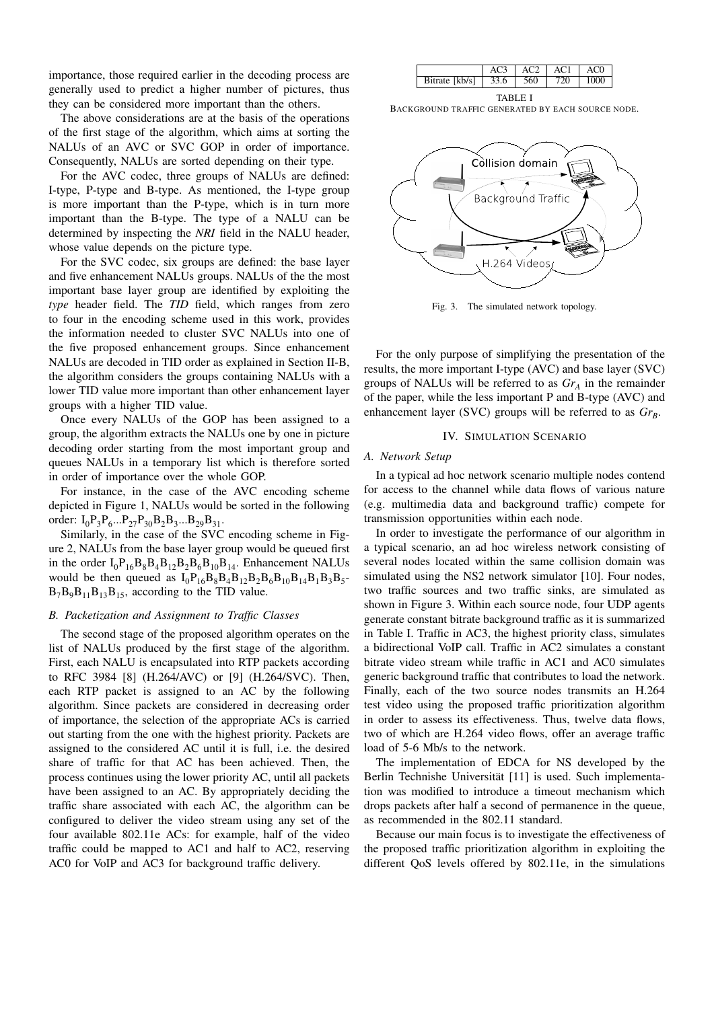importance, those required earlier in the decoding process are generally used to predict a higher number of pictures, thus they can be considered more important than the others.

The above considerations are at the basis of the operations of the first stage of the algorithm, which aims at sorting the NALUs of an AVC or SVC GOP in order of importance. Consequently, NALUs are sorted depending on their type.

For the AVC codec, three groups of NALUs are defined: I-type, P-type and B-type. As mentioned, the I-type group is more important than the P-type, which is in turn more important than the B-type. The type of a NALU can be determined by inspecting the *NRI* field in the NALU header, whose value depends on the picture type.

For the SVC codec, six groups are defined: the base layer and five enhancement NALUs groups. NALUs of the the most important base layer group are identified by exploiting the *type* header field. The *TID* field, which ranges from zero to four in the encoding scheme used in this work, provides the information needed to cluster SVC NALUs into one of the five proposed enhancement groups. Since enhancement NALUs are decoded in TID order as explained in Section [II-B,](#page-1-2) the algorithm considers the groups containing NALUs with a lower TID value more important than other enhancement layer groups with a higher TID value.

Once every NALUs of the GOP has been assigned to a group, the algorithm extracts the NALUs one by one in picture decoding order starting from the most important group and queues NALUs in a temporary list which is therefore sorted in order of importance over the whole GOP.

For instance, in the case of the AVC encoding scheme depicted in Figure [1,](#page-1-0) NALUs would be sorted in the following order:  $I_0 P_3 P_6 ... P_{27} P_{30} B_2 B_3 ... B_{29} B_{31}$ .

Similarly, in the case of the SVC encoding scheme in Figure [2,](#page-1-1) NALUs from the base layer group would be queued first in the order  $I_0P_{16}B_8B_4B_{12}B_2B_6B_{10}B_{14}$ . Enhancement NALUs would be then queued as  $I_0P_{16}B_8B_4B_{12}B_2B_6B_{10}B_{14}B_1B_3B_5$  $B_7B_9B_{11}B_{13}B_{15}$ , according to the TID value.

## *B. Packetization and Assignment to Traffic Classes*

The second stage of the proposed algorithm operates on the list of NALUs produced by the first stage of the algorithm. First, each NALU is encapsulated into RTP packets according to RFC 3984 [\[8\]](#page-4-7) (H.264/AVC) or [\[9\]](#page-4-8) (H.264/SVC). Then, each RTP packet is assigned to an AC by the following algorithm. Since packets are considered in decreasing order of importance, the selection of the appropriate ACs is carried out starting from the one with the highest priority. Packets are assigned to the considered AC until it is full, i.e. the desired share of traffic for that AC has been achieved. Then, the process continues using the lower priority AC, until all packets have been assigned to an AC. By appropriately deciding the traffic share associated with each AC, the algorithm can be configured to deliver the video stream using any set of the four available 802.11e ACs: for example, half of the video traffic could be mapped to AC1 and half to AC2, reserving AC0 for VoIP and AC3 for background traffic delivery.

|                |      | AC2 | AC1 | AC0  |
|----------------|------|-----|-----|------|
| Bitrate [kb/s] | 33.6 | 560 | 720 | 1000 |
| TARI E I       |      |     |     |      |

<span id="page-2-1"></span>BACKGROUND TRAFFIC GENERATED BY EACH SOURCE NODE.



<span id="page-2-0"></span>Fig. 3. The simulated network topology.

For the only purpose of simplifying the presentation of the results, the more important I-type (AVC) and base layer (SVC) groups of NALUs will be referred to as *Gr<sup>A</sup>* in the remainder of the paper, while the less important P and B-type (AVC) and enhancement layer (SVC) groups will be referred to as  $Gr_B$ .

#### IV. SIMULATION SCENARIO

#### *A. Network Setup*

In a typical ad hoc network scenario multiple nodes contend for access to the channel while data flows of various nature (e.g. multimedia data and background traffic) compete for transmission opportunities within each node.

In order to investigate the performance of our algorithm in a typical scenario, an ad hoc wireless network consisting of several nodes located within the same collision domain was simulated using the NS2 network simulator [\[10\]](#page-4-9). Four nodes, two traffic sources and two traffic sinks, are simulated as shown in Figure [3.](#page-2-0) Within each source node, four UDP agents generate constant bitrate background traffic as it is summarized in Table [I.](#page-2-1) Traffic in AC3, the highest priority class, simulates a bidirectional VoIP call. Traffic in AC2 simulates a constant bitrate video stream while traffic in AC1 and AC0 simulates generic background traffic that contributes to load the network. Finally, each of the two source nodes transmits an H.264 test video using the proposed traffic prioritization algorithm in order to assess its effectiveness. Thus, twelve data flows, two of which are H.264 video flows, offer an average traffic load of 5-6 Mb/s to the network.

The implementation of EDCA for NS developed by the Berlin Technishe Universität [[11\]](#page-4-10) is used. Such implementation was modified to introduce a timeout mechanism which drops packets after half a second of permanence in the queue, as recommended in the 802.11 standard.

Because our main focus is to investigate the effectiveness of the proposed traffic prioritization algorithm in exploiting the different QoS levels offered by 802.11e, in the simulations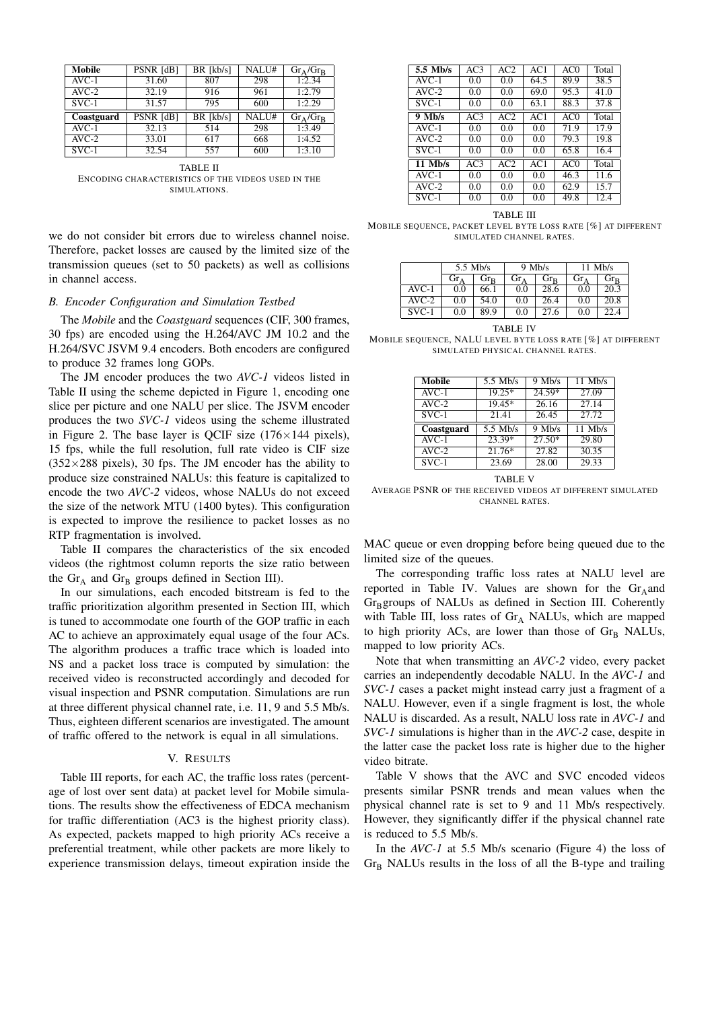| <b>Mobile</b> | $PSNR$ [dB] | BR [kb/s] | NALU# | $Gr_A/Gr_B$ |
|---------------|-------------|-----------|-------|-------------|
| $AVC-1$       | 31.60       | 807       | 298   | 1:2.34      |
| $AVC-2$       | 32.19       | 916       | 961   | 1:2.79      |
| $SVC-1$       | 31.57       | 795       | 600   | 1:2.29      |
| Coastguard    | PSNR [dB]   | BR [kb/s] | NALU# | $Gr_A/Gr_B$ |
|               |             |           |       |             |
| $AVC-1$       | 32.13       | 514       | 298   | 1:3.49      |
| $AVC-2$       | 33.01       | 617       | 668   | 1:4.52      |

<span id="page-3-0"></span>TABLE II ENCODING CHARACTERISTICS OF THE VIDEOS USED IN THE SIMULATIONS.

we do not consider bit errors due to wireless channel noise. Therefore, packet losses are caused by the limited size of the transmission queues (set to 50 packets) as well as collisions in channel access.

#### *B. Encoder Configuration and Simulation Testbed*

The *Mobile* and the *Coastguard* sequences (CIF, 300 frames, 30 fps) are encoded using the H.264/AVC JM 10.2 and the H.264/SVC JSVM 9.4 encoders. Both encoders are configured to produce 32 frames long GOPs.

The JM encoder produces the two *AVC-1* videos listed in Table [II](#page-3-0) using the scheme depicted in Figure [1,](#page-1-0) encoding one slice per picture and one NALU per slice. The JSVM encoder produces the two *SVC-1* videos using the scheme illustrated in Figure [2.](#page-1-1) The base layer is QCIF size  $(176 \times 144$  pixels), 15 fps, while the full resolution, full rate video is CIF size  $(352\times288$  pixels), 30 fps. The JM encoder has the ability to produce size constrained NALUs: this feature is capitalized to encode the two *AVC-2* videos, whose NALUs do not exceed the size of the network MTU (1400 bytes). This configuration is expected to improve the resilience to packet losses as no RTP fragmentation is involved.

Table [II](#page-3-0) compares the characteristics of the six encoded videos (the rightmost column reports the size ratio between the  $Gr_A$  and  $Gr_B$  groups defined in Section [III\)](#page-1-3).

In our simulations, each encoded bitstream is fed to the traffic prioritization algorithm presented in Section [III,](#page-1-3) which is tuned to accommodate one fourth of the GOP traffic in each AC to achieve an approximately equal usage of the four ACs. The algorithm produces a traffic trace which is loaded into NS and a packet loss trace is computed by simulation: the received video is reconstructed accordingly and decoded for visual inspection and PSNR computation. Simulations are run at three different physical channel rate, i.e. 11, 9 and 5.5 Mb/s. Thus, eighteen different scenarios are investigated. The amount of traffic offered to the network is equal in all simulations.

## V. RESULTS

Table [III](#page-3-1) reports, for each AC, the traffic loss rates (percentage of lost over sent data) at packet level for Mobile simulations. The results show the effectiveness of EDCA mechanism for traffic differentiation (AC3 is the highest priority class). As expected, packets mapped to high priority ACs receive a preferential treatment, while other packets are more likely to experience transmission delays, timeout expiration inside the

| $5.5$ Mb/s | AC3 | AC2              | AC1  | AC0  | Total |
|------------|-----|------------------|------|------|-------|
| $AVC-1$    | 0.0 | 0.0              | 64.5 | 89.9 | 38.5  |
| $AVC-2$    | 0.0 | 0.0              | 69.0 | 95.3 | 41.0  |
| $SVC-1$    | 0.0 | 0.0              | 63.1 | 88.3 | 37.8  |
| $9$ Mb/s   | AC3 | $\overline{AC2}$ | AC1  | AC0  | Total |
| $AVC-1$    | 0.0 | 0.0              | 0.0  | 71.9 | 17.9  |
| $AVC-2$    | 0.0 | 0.0              | 0.0  | 79.3 | 19.8  |
| $SVC-1$    | 0.0 | 0.0              | 0.0  | 65.8 | 16.4  |
| $11$ Mb/s  | AC3 | AC2              | AC1  | AC0  | Total |
| $AVC-1$    | 0.0 | 0.0              | 0.0  | 46.3 | 11.6  |
| $AVC-2$    | 0.0 | 0.0              | 0.0  | 62.9 | 15.7  |
| $SVC-1$    | 0.0 | 0.0              | 0.0  | 49.8 | 12.4  |

<span id="page-3-1"></span>TABLE III MOBILE SEQUENCE, PACKET LEVEL BYTE LOSS RATE [%] AT DIFFERENT SIMULATED CHANNEL RATES.

|         | $5.5$ Mb/s |                   | $9$ Mb/s |          |             | 11 Mb/s  |
|---------|------------|-------------------|----------|----------|-------------|----------|
|         | Gr A       | $Gr_{\mathbf{R}}$ | $Gr_A$   | $Gr_{R}$ | $\rm{Gr}_A$ | $Gr_{R}$ |
| $AVC-1$ | 0.0        | 66.1              | 0.0      | 28.6     | 0.0         | 20.3     |
| $AVC-2$ | 0.0        | 54.0              | 0.0      | 26.4     | 0.0         | 20.8     |
| $SVC-1$ | 0.0        | 89.9              | 0.0      | 27.6     | 0.0         | 22.4     |

<span id="page-3-2"></span>TABLE IV MOBILE SEQUENCE, NALU LEVEL BYTE LOSS RATE [%] AT DIFFERENT SIMULATED PHYSICAL CHANNEL RATES.

| Mobile     | $5.5$ Mb/s | $9$ Mb/s | $11$ Mb/s |
|------------|------------|----------|-----------|
| $AVC-1$    | $19.25*$   | $24.59*$ | 27.09     |
| $AVC-2$    | $19.45*$   | 26.16    | 27.14     |
| $SVC-1$    | 21.41      | 26.45    | 27.72     |
|            |            |          |           |
| Coastguard | $5.5$ Mb/s | $9$ Mb/s | $11$ Mb/s |
| $AVC-1$    | 23.39*     | $27.50*$ | 29.80     |
| $AVC-2$    | 21.76*     | 27.82    | 30.35     |
| $SVC-1$    | 23.69      | 28.00    | 29.33     |

TABLE V

<span id="page-3-3"></span>AVERAGE PSNR OF THE RECEIVED VIDEOS AT DIFFERENT SIMULATED CHANNEL RATES.

MAC queue or even dropping before being queued due to the limited size of the queues.

The corresponding traffic loss rates at NALU level are reported in Table [IV.](#page-3-2) Values are shown for the  $Gr_A$  and  $Gr_B$ groups of NALUs as defined in Section [III.](#page-1-3) Coherently with Table [III,](#page-3-1) loss rates of  $Gr_A$  NALUs, which are mapped to high priority ACs, are lower than those of  $\text{Gr}_{\text{B}}$  NALUs, mapped to low priority ACs.

Note that when transmitting an *AVC-2* video, every packet carries an independently decodable NALU. In the *AVC-1* and *SVC-1* cases a packet might instead carry just a fragment of a NALU. However, even if a single fragment is lost, the whole NALU is discarded. As a result, NALU loss rate in *AVC-1* and *SVC-1* simulations is higher than in the *AVC-2* case, despite in the latter case the packet loss rate is higher due to the higher video bitrate.

Table [V](#page-3-3) shows that the AVC and SVC encoded videos presents similar PSNR trends and mean values when the physical channel rate is set to 9 and 11 Mb/s respectively. However, they significantly differ if the physical channel rate is reduced to 5.5 Mb/s.

In the *AVC-1* at 5.5 Mb/s scenario (Figure [4\)](#page-4-11) the loss of  $Gr<sub>B</sub>$  NALUs results in the loss of all the B-type and trailing